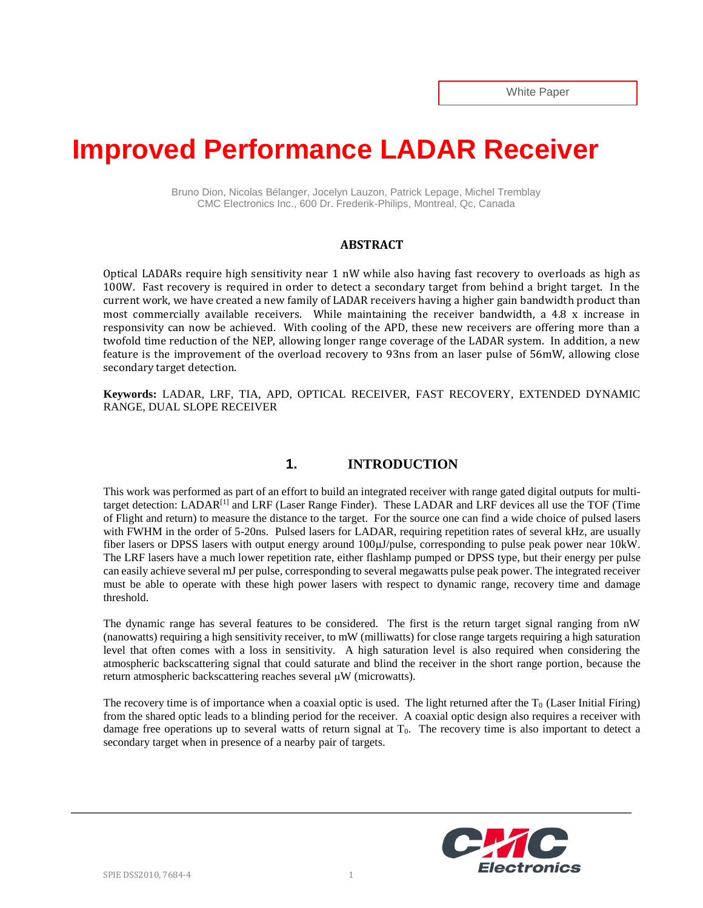# **Improved Performance LADAR Receiver**

Bruno Dion, Nicolas Bélanger, Jocelyn Lauzon, Patrick Lepage, Michel Tremblay CMC Electronics Inc., 600 Dr. Frederik-Philips, Montreal, Qc, Canada

#### **ABSTRACT**

Optical LADARs require high sensitivity near 1 nW while also having fast recovery to overloads as high as 100W. Fast recovery is required in order to detect a secondary target from behind a bright target. In the current work, we have created a new family of LADAR receivers having a higher gain bandwidth product than most commercially available receivers. While maintaining the receiver bandwidth, a 4.8 x increase in responsivity can now be achieved. With cooling of the APD, these new receivers are offering more than a twofold time reduction of the NEP, allowing longer range coverage of the LADAR system. In addition, a new feature is the improvement of the overload recovery to 93ns from an laser pulse of 56mW, allowing close secondary target detection.

**Keywords:** LADAR, LRF, TIA, APD, OPTICAL RECEIVER, FAST RECOVERY, EXTENDED DYNAMIC RANGE, DUAL SLOPE RECEIVER

## **1. INTRODUCTION**

This work was performed as part of an effort to build an integrated receiver with range gated digital outputs for multitarget detection: LADAR<sup>[1]</sup> and LRF (Laser Range Finder). These LADAR and LRF devices all use the TOF (Time of Flight and return) to measure the distance to the target. For the source one can find a wide choice of pulsed lasers with FWHM in the order of 5-20ns. Pulsed lasers for LADAR, requiring repetition rates of several kHz, are usually fiber lasers or DPSS lasers with output energy around 100μJ/pulse, corresponding to pulse peak power near 10kW. The LRF lasers have a much lower repetition rate, either flashlamp pumped or DPSS type, but their energy per pulse can easily achieve several mJ per pulse, corresponding to several megawatts pulse peak power. The integrated receiver must be able to operate with these high power lasers with respect to dynamic range, recovery time and damage threshold.

The dynamic range has several features to be considered. The first is the return target signal ranging from nW (nanowatts) requiring a high sensitivity receiver, to mW (milliwatts) for close range targets requiring a high saturation level that often comes with a loss in sensitivity. A high saturation level is also required when considering the atmospheric backscattering signal that could saturate and blind the receiver in the short range portion, because the return atmospheric backscattering reaches several μW (microwatts).

The recovery time is of importance when a coaxial optic is used. The light returned after the  $T_0$  (Laser Initial Firing) from the shared optic leads to a blinding period for the receiver. A coaxial optic design also requires a receiver with damage free operations up to several watts of return signal at T<sub>0</sub>. The recovery time is also important to detect a secondary target when in presence of a nearby pair of targets.

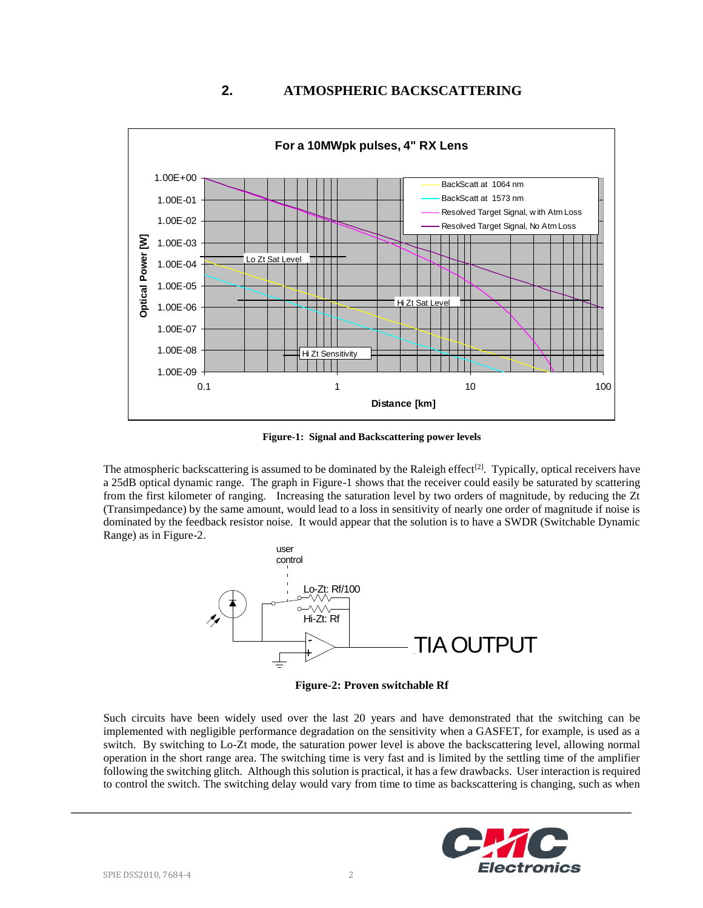# **2. ATMOSPHERIC BACKSCATTERING**



**Figure-1: Signal and Backscattering power levels**

The atmospheric backscattering is assumed to be dominated by the Raleigh effect<sup>[2]</sup>. Typically, optical receivers have a 25dB optical dynamic range. The graph in Figure-1 shows that the receiver could easily be saturated by scattering from the first kilometer of ranging. Increasing the saturation level by two orders of magnitude, by reducing the Zt (Transimpedance) by the same amount, would lead to a loss in sensitivity of nearly one order of magnitude if noise is dominated by the feedback resistor noise. It would appear that the solution is to have a SWDR (Switchable Dynamic Range) as in Figure-2.



**Figure-2: Proven switchable Rf**

Such circuits have been widely used over the last 20 years and have demonstrated that the switching can be implemented with negligible performance degradation on the sensitivity when a GASFET, for example, is used as a switch. By switching to Lo-Zt mode, the saturation power level is above the backscattering level, allowing normal operation in the short range area. The switching time is very fast and is limited by the settling time of the amplifier following the switching glitch. Although this solution is practical, it has a few drawbacks. User interaction is required to control the switch. The switching delay would vary from time to time as backscattering is changing, such as when

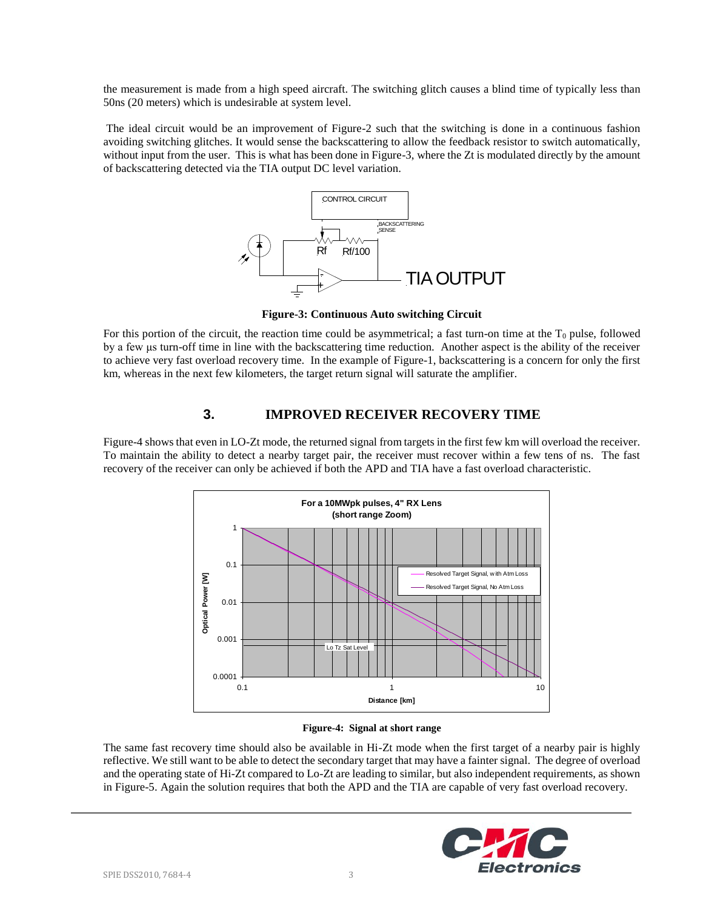the measurement is made from a high speed aircraft. The switching glitch causes a blind time of typically less than 50ns (20 meters) which is undesirable at system level.

The ideal circuit would be an improvement of Figure-2 such that the switching is done in a continuous fashion avoiding switching glitches. It would sense the backscattering to allow the feedback resistor to switch automatically, without input from the user. This is what has been done in Figure-3, where the Zt is modulated directly by the amount of backscattering detected via the TIA output DC level variation.



**Figure-3: Continuous Auto switching Circuit**

For this portion of the circuit, the reaction time could be asymmetrical; a fast turn-on time at the  $T_0$  pulse, followed by a few μs turn-off time in line with the backscattering time reduction. Another aspect is the ability of the receiver to achieve very fast overload recovery time. In the example of Figure-1, backscattering is a concern for only the first km, whereas in the next few kilometers, the target return signal will saturate the amplifier.

## **3. IMPROVED RECEIVER RECOVERY TIME**

Figure-4 shows that even in LO-Zt mode, the returned signal from targets in the first few km will overload the receiver. To maintain the ability to detect a nearby target pair, the receiver must recover within a few tens of ns. The fast recovery of the receiver can only be achieved if both the APD and TIA have a fast overload characteristic.



#### **Figure-4: Signal at short range**

The same fast recovery time should also be available in Hi-Zt mode when the first target of a nearby pair is highly reflective. We still want to be able to detect the secondary target that may have a fainter signal. The degree of overload and the operating state of Hi-Zt compared to Lo-Zt are leading to similar, but also independent requirements, as shown in Figure-5. Again the solution requires that both the APD and the TIA are capable of very fast overload recovery.

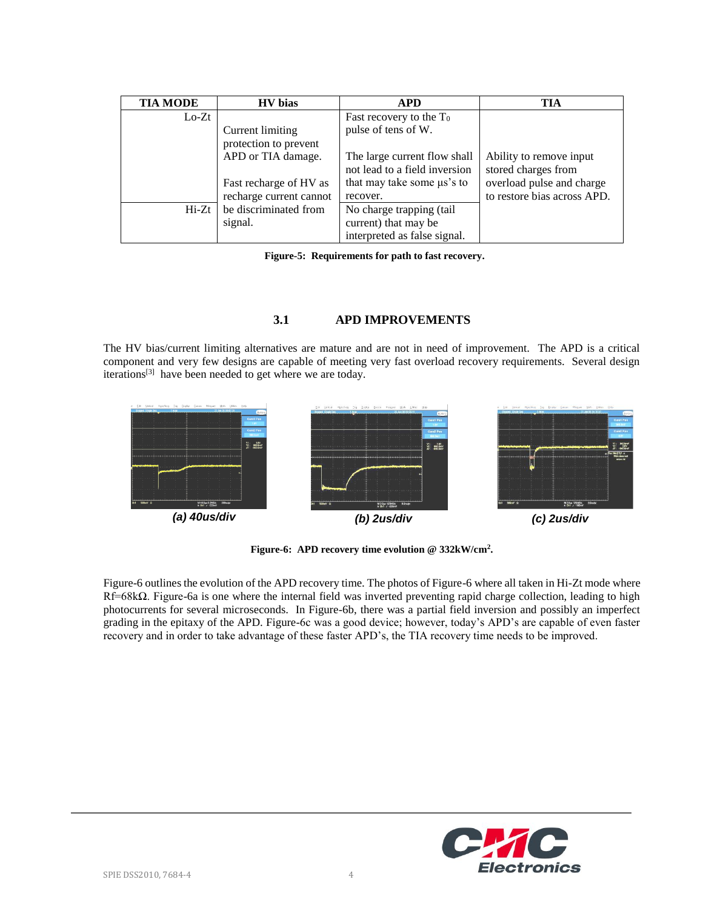| <b>TIA MODE</b> | <b>HV</b> bias          | <b>APD</b>                      | TIA                         |
|-----------------|-------------------------|---------------------------------|-----------------------------|
| $Lo-Zt$         |                         | Fast recovery to the $T_0$      |                             |
|                 | Current limiting        | pulse of tens of W.             |                             |
|                 | protection to prevent   |                                 |                             |
|                 | APD or TIA damage.      | The large current flow shall    | Ability to remove input     |
|                 |                         | not lead to a field inversion   | stored charges from         |
|                 | Fast recharge of HV as  | that may take some $\mu$ s's to | overload pulse and charge   |
|                 | recharge current cannot | recover.                        | to restore bias across APD. |
| $Hi-Zt$         | be discriminated from   | No charge trapping (tail        |                             |
|                 | signal.                 | current) that may be            |                             |
|                 |                         | interpreted as false signal.    |                             |

 **Figure-5: Requirements for path to fast recovery.**

## **3.1 APD IMPROVEMENTS**

The HV bias/current limiting alternatives are mature and are not in need of improvement. The APD is a critical component and very few designs are capable of meeting very fast overload recovery requirements. Several design iterations<sup>[3]</sup> have been needed to get where we are today.



**Figure-6: APD recovery time evolution @ 332kW/cm<sup>2</sup> .**

Figure-6 outlines the evolution of the APD recovery time. The photos of Figure-6 where all taken in Hi-Zt mode where Rf=68kΩ. Figure-6a is one where the internal field was inverted preventing rapid charge collection, leading to high photocurrents for several microseconds. In Figure-6b, there was a partial field inversion and possibly an imperfect grading in the epitaxy of the APD. Figure-6c was a good device; however, today's APD's are capable of even faster recovery and in order to take advantage of these faster APD's, the TIA recovery time needs to be improved.

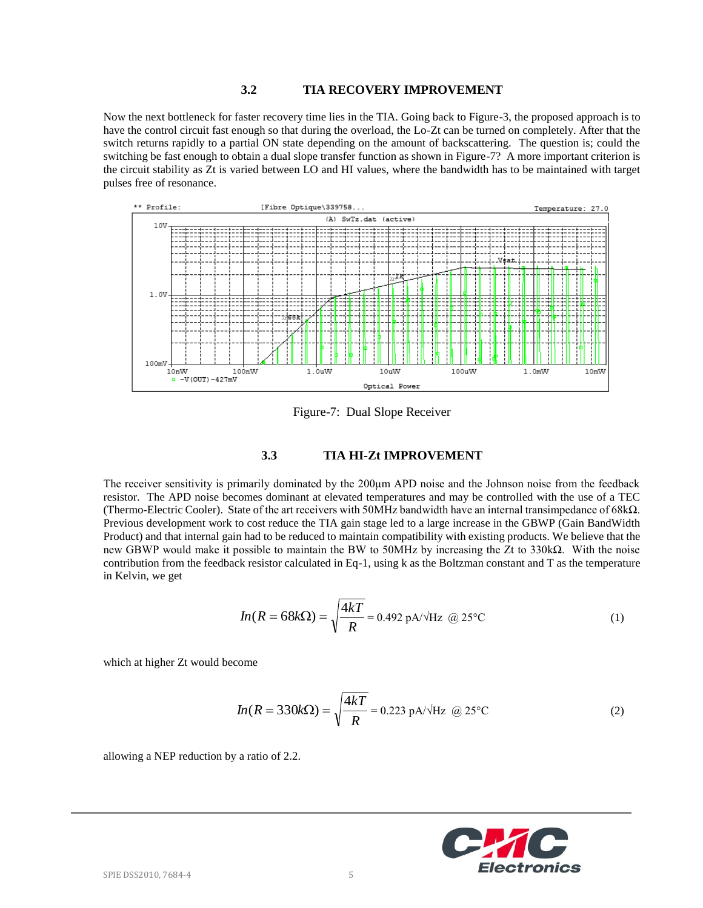#### **3.2 TIA RECOVERY IMPROVEMENT**

Now the next bottleneck for faster recovery time lies in the TIA. Going back to Figure-3, the proposed approach is to have the control circuit fast enough so that during the overload, the Lo-Zt can be turned on completely. After that the switch returns rapidly to a partial ON state depending on the amount of backscattering. The question is; could the switching be fast enough to obtain a dual slope transfer function as shown in Figure-7? A more important criterion is the circuit stability as Zt is varied between LO and HI values, where the bandwidth has to be maintained with target pulses free of resonance.



Figure-7: Dual Slope Receiver

#### **3.3 TIA HI-Zt IMPROVEMENT**

The receiver sensitivity is primarily dominated by the 200μm APD noise and the Johnson noise from the feedback resistor. The APD noise becomes dominant at elevated temperatures and may be controlled with the use of a TEC (Thermo-Electric Cooler). State of the art receivers with 50MHz bandwidth have an internal transimpedance of 68kΩ. Previous development work to cost reduce the TIA gain stage led to a large increase in the GBWP (Gain BandWidth Product) and that internal gain had to be reduced to maintain compatibility with existing products. We believe that the new GBWP would make it possible to maintain the BW to 50MHz by increasing the Zt to 330kΩ. With the noise contribution from the feedback resistor calculated in Eq-1, using k as the Boltzman constant and T as the temperature in Kelvin, we get

$$
In(R = 68k\Omega) = \sqrt{\frac{4kT}{R}} = 0.492 \text{ pA/Hz} \quad \textcircled{a} \quad 25^{\circ}\text{C}
$$
 (1)

which at higher Zt would become

$$
In(R = 330k\Omega) = \sqrt{\frac{4kT}{R}} = 0.223 \text{ pA/}\sqrt{\text{Hz}} \text{ @ } 25^{\circ}\text{C}
$$
 (2)

allowing a NEP reduction by a ratio of 2.2.

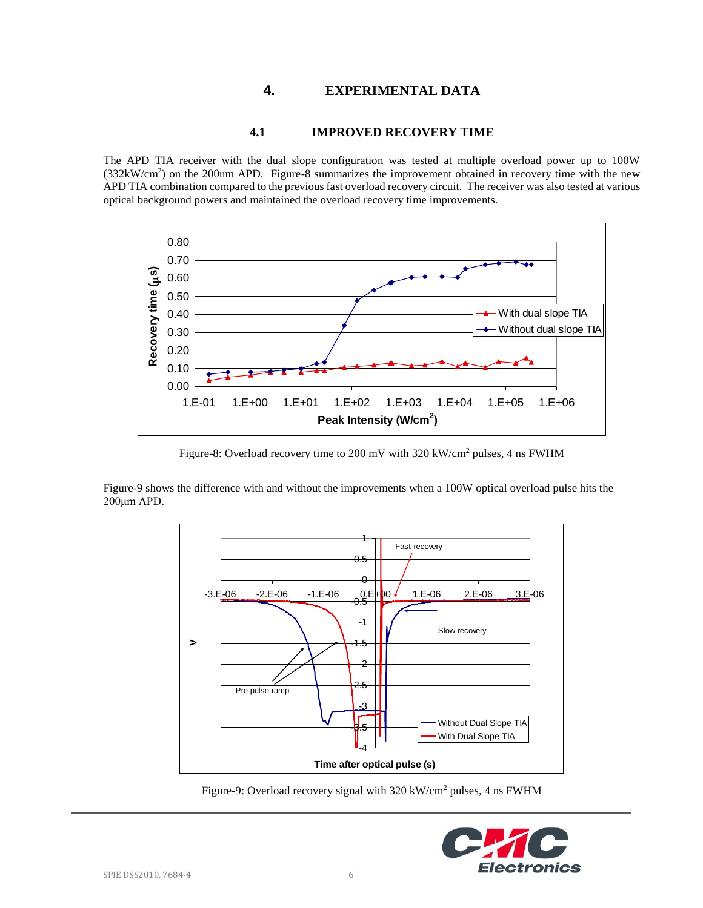# **4. EXPERIMENTAL DATA**

## **4.1 IMPROVED RECOVERY TIME**

The APD TIA receiver with the dual slope configuration was tested at multiple overload power up to 100W (332kW/cm<sup>2</sup> ) on the 200um APD. Figure-8 summarizes the improvement obtained in recovery time with the new APD TIA combination compared to the previous fast overload recovery circuit. The receiver was also tested at various optical background powers and maintained the overload recovery time improvements.



Figure-8: Overload recovery time to 200 mV with 320 kW/cm<sup>2</sup> pulses, 4 ns FWHM

Figure-9 shows the difference with and without the improvements when a 100W optical overload pulse hits the 200μm APD.



Figure-9: Overload recovery signal with 320 kW/cm<sup>2</sup> pulses, 4 ns FWHM

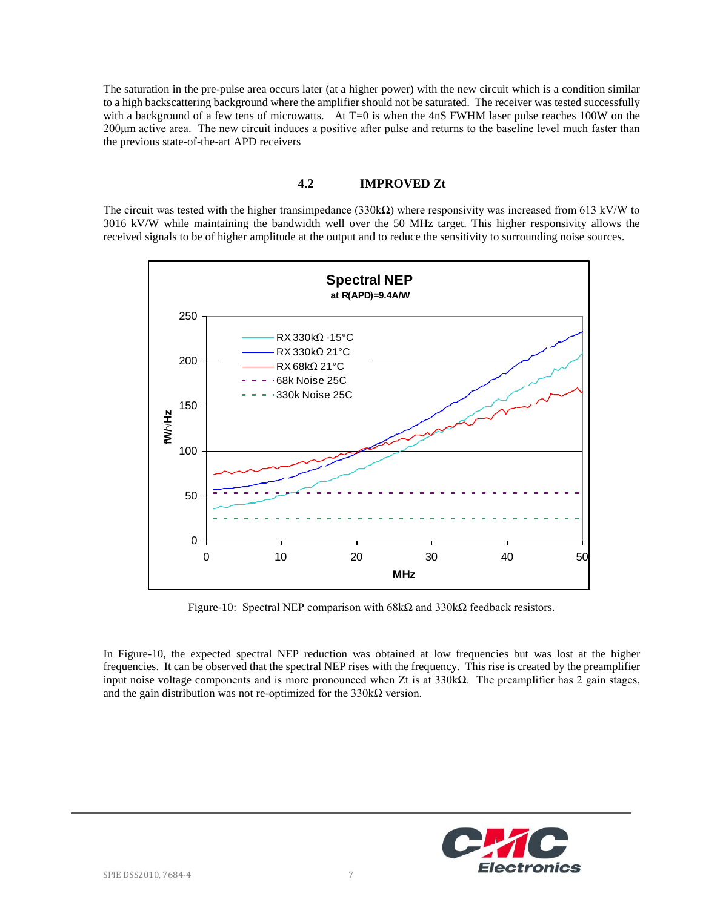The saturation in the pre-pulse area occurs later (at a higher power) with the new circuit which is a condition similar to a high backscattering background where the amplifier should not be saturated. The receiver was tested successfully with a background of a few tens of microwatts. At T=0 is when the 4nS FWHM laser pulse reaches 100W on the 200μm active area. The new circuit induces a positive after pulse and returns to the baseline level much faster than the previous state-of-the-art APD receivers

#### **4.2 IMPROVED Zt**

The circuit was tested with the higher transimpedance (330k $\Omega$ ) where responsivity was increased from 613 kV/W to 3016 kV/W while maintaining the bandwidth well over the 50 MHz target. This higher responsivity allows the received signals to be of higher amplitude at the output and to reduce the sensitivity to surrounding noise sources.



Figure-10: Spectral NEP comparison with  $68kΩ$  and  $330kΩ$  feedback resistors.

In Figure-10, the expected spectral NEP reduction was obtained at low frequencies but was lost at the higher frequencies. It can be observed that the spectral NEP rises with the frequency. This rise is created by the preamplifier input noise voltage components and is more pronounced when Zt is at  $330k\Omega$ . The preamplifier has 2 gain stages, and the gain distribution was not re-optimized for the  $330k\Omega$  version.